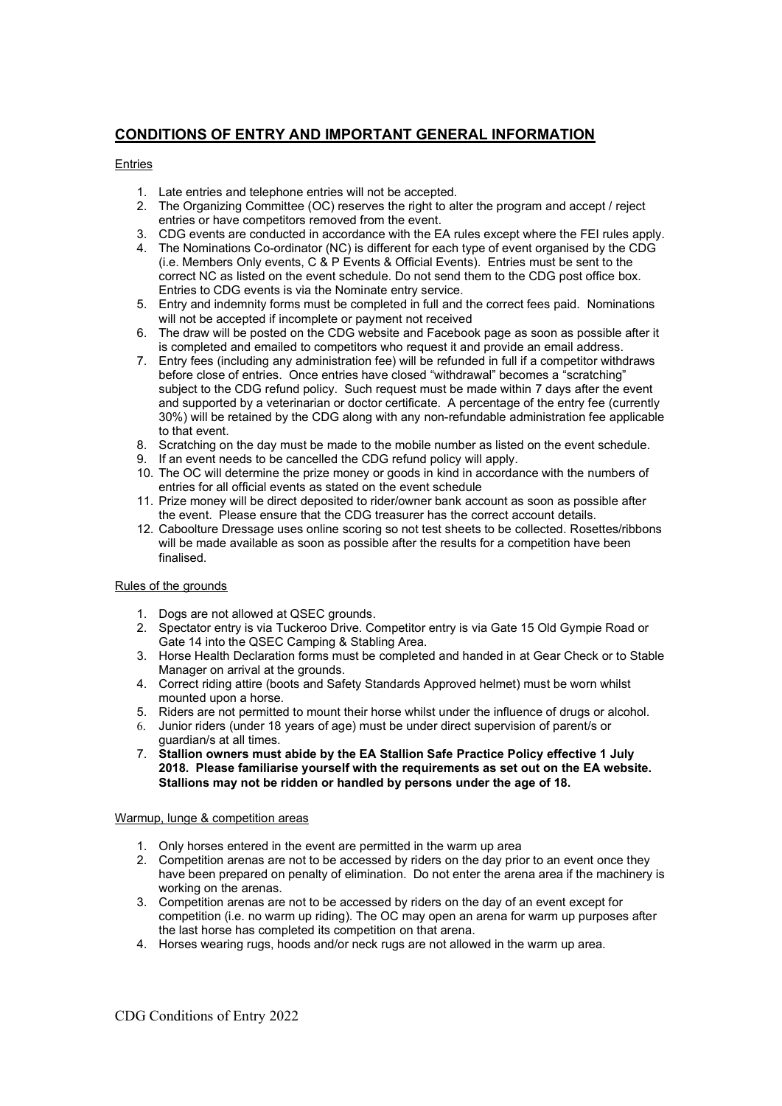# **CONDITIONS OF ENTRY AND IMPORTANT GENERAL INFORMATION**

## Entries

- 1. Late entries and telephone entries will not be accepted.
- 2. The Organizing Committee (OC) reserves the right to alter the program and accept / reject entries or have competitors removed from the event.
- 3. CDG events are conducted in accordance with the EA rules except where the FEI rules apply.
- 4. The Nominations Co-ordinator (NC) is different for each type of event organised by the CDG (i.e. Members Only events, C & P Events & Official Events). Entries must be sent to the correct NC as listed on the event schedule. Do not send them to the CDG post office box. Entries to CDG events is via the Nominate entry service.
- 5. Entry and indemnity forms must be completed in full and the correct fees paid. Nominations will not be accepted if incomplete or payment not received
- 6. The draw will be posted on the CDG website and Facebook page as soon as possible after it is completed and emailed to competitors who request it and provide an email address.
- 7. Entry fees (including any administration fee) will be refunded in full if a competitor withdraws before close of entries. Once entries have closed "withdrawal" becomes a "scratching" subject to the CDG refund policy. Such request must be made within 7 days after the event and supported by a veterinarian or doctor certificate. A percentage of the entry fee (currently 30%) will be retained by the CDG along with any non-refundable administration fee applicable to that event.
- 8. Scratching on the day must be made to the mobile number as listed on the event schedule.
- 9. If an event needs to be cancelled the CDG refund policy will apply.
- 10. The OC will determine the prize money or goods in kind in accordance with the numbers of entries for all official events as stated on the event schedule
- 11. Prize money will be direct deposited to rider/owner bank account as soon as possible after the event. Please ensure that the CDG treasurer has the correct account details.
- 12. Caboolture Dressage uses online scoring so not test sheets to be collected. Rosettes/ribbons will be made available as soon as possible after the results for a competition have been finalised.

### Rules of the grounds

- 1. Dogs are not allowed at QSEC grounds.
- 2. Spectator entry is via Tuckeroo Drive. Competitor entry is via Gate 15 Old Gympie Road or Gate 14 into the QSEC Camping & Stabling Area.
- 3. Horse Health Declaration forms must be completed and handed in at Gear Check or to Stable Manager on arrival at the grounds.
- 4. Correct riding attire (boots and Safety Standards Approved helmet) must be worn whilst mounted upon a horse.
- 5. Riders are not permitted to mount their horse whilst under the influence of drugs or alcohol.
- 6. Junior riders (under 18 years of age) must be under direct supervision of parent/s or guardian/s at all times.
- 7. **Stallion owners must abide by the EA Stallion Safe Practice Policy effective 1 July 2018. Please familiarise yourself with the requirements as set out on the EA website. Stallions may not be ridden or handled by persons under the age of 18.**

#### Warmup, lunge & competition areas

- 1. Only horses entered in the event are permitted in the warm up area
- 2. Competition arenas are not to be accessed by riders on the day prior to an event once they have been prepared on penalty of elimination. Do not enter the arena area if the machinery is working on the arenas.
- 3. Competition arenas are not to be accessed by riders on the day of an event except for competition (i.e. no warm up riding). The OC may open an arena for warm up purposes after the last horse has completed its competition on that arena.
- 4. Horses wearing rugs, hoods and/or neck rugs are not allowed in the warm up area.